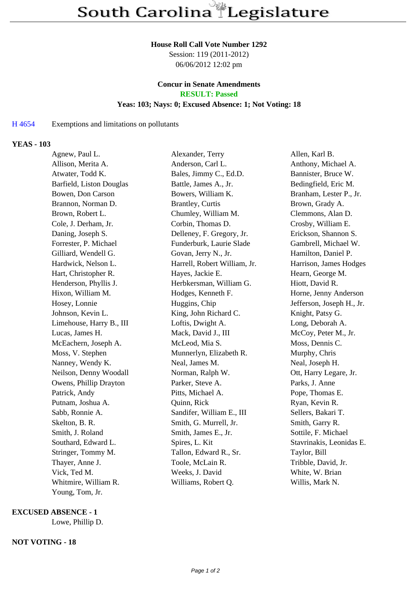#### **House Roll Call Vote Number 1292**

Session: 119 (2011-2012) 06/06/2012 12:02 pm

#### **Concur in Senate Amendments RESULT: Passed**

# **Yeas: 103; Nays: 0; Excused Absence: 1; Not Voting: 18**

## H 4654 Exemptions and limitations on pollutants

## **YEAS - 103**

| Agnew, Paul L.           | Alexander, Terry             | Allen, Karl B.            |
|--------------------------|------------------------------|---------------------------|
| Allison, Merita A.       | Anderson, Carl L.            | Anthony, Michael A.       |
| Atwater, Todd K.         | Bales, Jimmy C., Ed.D.       | Bannister, Bruce W.       |
| Barfield, Liston Douglas | Battle, James A., Jr.        | Bedingfield, Eric M.      |
| Bowen, Don Carson        | Bowers, William K.           | Branham, Lester P., Jr.   |
| Brannon, Norman D.       | <b>Brantley</b> , Curtis     | Brown, Grady A.           |
| Brown, Robert L.         | Chumley, William M.          | Clemmons, Alan D.         |
| Cole, J. Derham, Jr.     | Corbin, Thomas D.            | Crosby, William E.        |
| Daning, Joseph S.        | Delleney, F. Gregory, Jr.    | Erickson, Shannon S.      |
| Forrester, P. Michael    | Funderburk, Laurie Slade     | Gambrell, Michael W.      |
| Gilliard, Wendell G.     | Govan, Jerry N., Jr.         | Hamilton, Daniel P.       |
| Hardwick, Nelson L.      | Harrell, Robert William, Jr. | Harrison, James Hodges    |
| Hart, Christopher R.     | Hayes, Jackie E.             | Hearn, George M.          |
| Henderson, Phyllis J.    | Herbkersman, William G.      | Hiott, David R.           |
| Hixon, William M.        | Hodges, Kenneth F.           | Horne, Jenny Anderson     |
| Hosey, Lonnie            | Huggins, Chip                | Jefferson, Joseph H., Jr. |
| Johnson, Kevin L.        | King, John Richard C.        | Knight, Patsy G.          |
| Limehouse, Harry B., III | Loftis, Dwight A.            | Long, Deborah A.          |
| Lucas, James H.          | Mack, David J., III          | McCoy, Peter M., Jr.      |
| McEachern, Joseph A.     | McLeod, Mia S.               | Moss, Dennis C.           |
| Moss, V. Stephen         | Munnerlyn, Elizabeth R.      | Murphy, Chris             |
| Nanney, Wendy K.         | Neal, James M.               | Neal, Joseph H.           |
| Neilson, Denny Woodall   | Norman, Ralph W.             | Ott, Harry Legare, Jr.    |
| Owens, Phillip Drayton   | Parker, Steve A.             | Parks, J. Anne            |
| Patrick, Andy            | Pitts, Michael A.            | Pope, Thomas E.           |
| Putnam, Joshua A.        | Quinn, Rick                  | Ryan, Kevin R.            |
| Sabb, Ronnie A.          | Sandifer, William E., III    | Sellers, Bakari T.        |
| Skelton, B. R.           | Smith, G. Murrell, Jr.       | Smith, Garry R.           |
| Smith, J. Roland         | Smith, James E., Jr.         | Sottile, F. Michael       |
| Southard, Edward L.      | Spires, L. Kit               | Stavrinakis, Leonidas E.  |
| Stringer, Tommy M.       | Tallon, Edward R., Sr.       | Taylor, Bill              |
| Thayer, Anne J.          | Toole, McLain R.             | Tribble, David, Jr.       |
| Vick, Ted M.             | Weeks, J. David              | White, W. Brian           |
| Whitmire, William R.     | Williams, Robert Q.          | Willis, Mark N.           |
| Young, Tom, Jr.          |                              |                           |

#### **EXCUSED ABSENCE - 1**

Lowe, Phillip D.

## **NOT VOTING - 18**